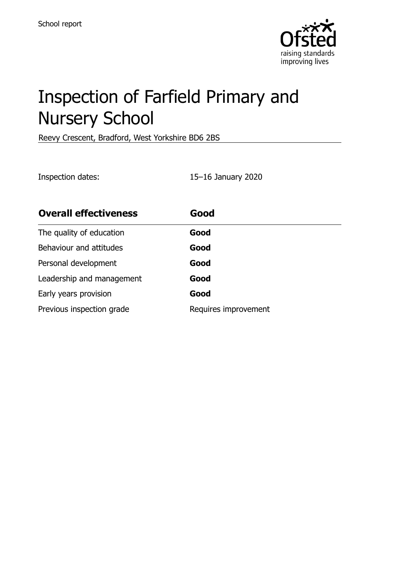

# Inspection of Farfield Primary and Nursery School

Reevy Crescent, Bradford, West Yorkshire BD6 2BS

Inspection dates: 15–16 January 2020

| <b>Overall effectiveness</b> | Good                 |
|------------------------------|----------------------|
| The quality of education     | Good                 |
| Behaviour and attitudes      | Good                 |
| Personal development         | Good                 |
| Leadership and management    | Good                 |
| Early years provision        | Good                 |
| Previous inspection grade    | Requires improvement |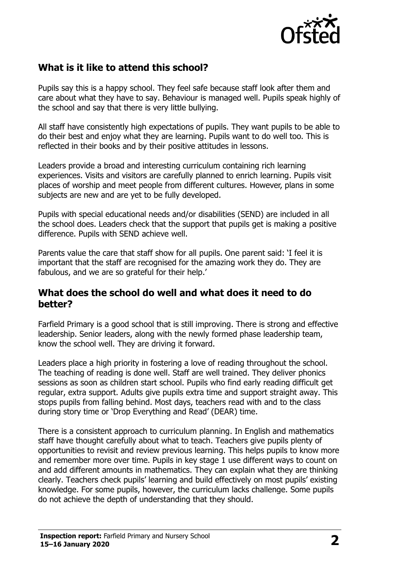

## **What is it like to attend this school?**

Pupils say this is a happy school. They feel safe because staff look after them and care about what they have to say. Behaviour is managed well. Pupils speak highly of the school and say that there is very little bullying.

All staff have consistently high expectations of pupils. They want pupils to be able to do their best and enjoy what they are learning. Pupils want to do well too. This is reflected in their books and by their positive attitudes in lessons.

Leaders provide a broad and interesting curriculum containing rich learning experiences. Visits and visitors are carefully planned to enrich learning. Pupils visit places of worship and meet people from different cultures. However, plans in some subjects are new and are yet to be fully developed.

Pupils with special educational needs and/or disabilities (SEND) are included in all the school does. Leaders check that the support that pupils get is making a positive difference. Pupils with SEND achieve well.

Parents value the care that staff show for all pupils. One parent said: 'I feel it is important that the staff are recognised for the amazing work they do. They are fabulous, and we are so grateful for their help.'

#### **What does the school do well and what does it need to do better?**

Farfield Primary is a good school that is still improving. There is strong and effective leadership. Senior leaders, along with the newly formed phase leadership team, know the school well. They are driving it forward.

Leaders place a high priority in fostering a love of reading throughout the school. The teaching of reading is done well. Staff are well trained. They deliver phonics sessions as soon as children start school. Pupils who find early reading difficult get regular, extra support. Adults give pupils extra time and support straight away. This stops pupils from falling behind. Most days, teachers read with and to the class during story time or 'Drop Everything and Read' (DEAR) time.

There is a consistent approach to curriculum planning. In English and mathematics staff have thought carefully about what to teach. Teachers give pupils plenty of opportunities to revisit and review previous learning. This helps pupils to know more and remember more over time. Pupils in key stage 1 use different ways to count on and add different amounts in mathematics. They can explain what they are thinking clearly. Teachers check pupils' learning and build effectively on most pupils' existing knowledge. For some pupils, however, the curriculum lacks challenge. Some pupils do not achieve the depth of understanding that they should.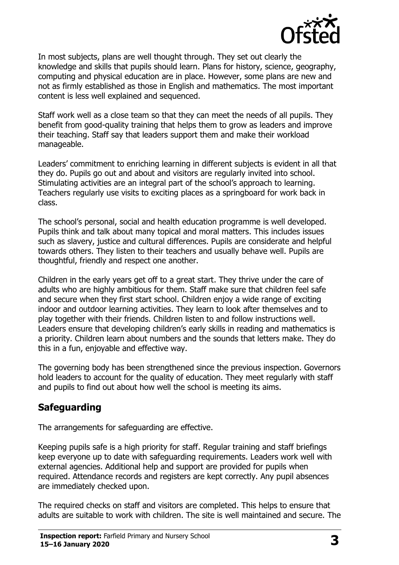

In most subjects, plans are well thought through. They set out clearly the knowledge and skills that pupils should learn. Plans for history, science, geography, computing and physical education are in place. However, some plans are new and not as firmly established as those in English and mathematics. The most important content is less well explained and sequenced.

Staff work well as a close team so that they can meet the needs of all pupils. They benefit from good-quality training that helps them to grow as leaders and improve their teaching. Staff say that leaders support them and make their workload manageable.

Leaders' commitment to enriching learning in different subjects is evident in all that they do. Pupils go out and about and visitors are regularly invited into school. Stimulating activities are an integral part of the school's approach to learning. Teachers regularly use visits to exciting places as a springboard for work back in class.

The school's personal, social and health education programme is well developed. Pupils think and talk about many topical and moral matters. This includes issues such as slavery, justice and cultural differences. Pupils are considerate and helpful towards others. They listen to their teachers and usually behave well. Pupils are thoughtful, friendly and respect one another.

Children in the early years get off to a great start. They thrive under the care of adults who are highly ambitious for them. Staff make sure that children feel safe and secure when they first start school. Children enjoy a wide range of exciting indoor and outdoor learning activities. They learn to look after themselves and to play together with their friends. Children listen to and follow instructions well. Leaders ensure that developing children's early skills in reading and mathematics is a priority. Children learn about numbers and the sounds that letters make. They do this in a fun, enjoyable and effective way.

The governing body has been strengthened since the previous inspection. Governors hold leaders to account for the quality of education. They meet regularly with staff and pupils to find out about how well the school is meeting its aims.

# **Safeguarding**

The arrangements for safeguarding are effective.

Keeping pupils safe is a high priority for staff. Regular training and staff briefings keep everyone up to date with safeguarding requirements. Leaders work well with external agencies. Additional help and support are provided for pupils when required. Attendance records and registers are kept correctly. Any pupil absences are immediately checked upon.

The required checks on staff and visitors are completed. This helps to ensure that adults are suitable to work with children. The site is well maintained and secure. The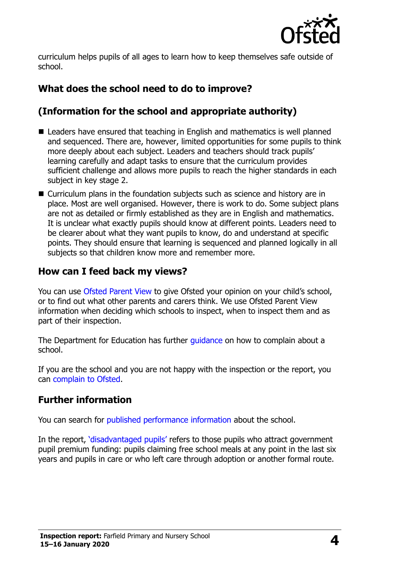

curriculum helps pupils of all ages to learn how to keep themselves safe outside of school.

# **What does the school need to do to improve?**

# **(Information for the school and appropriate authority)**

- Leaders have ensured that teaching in English and mathematics is well planned and sequenced. There are, however, limited opportunities for some pupils to think more deeply about each subject. Leaders and teachers should track pupils' learning carefully and adapt tasks to ensure that the curriculum provides sufficient challenge and allows more pupils to reach the higher standards in each subject in key stage 2.
- Curriculum plans in the foundation subjects such as science and history are in place. Most are well organised. However, there is work to do. Some subject plans are not as detailed or firmly established as they are in English and mathematics. It is unclear what exactly pupils should know at different points. Leaders need to be clearer about what they want pupils to know, do and understand at specific points. They should ensure that learning is sequenced and planned logically in all subjects so that children know more and remember more.

### **How can I feed back my views?**

You can use [Ofsted Parent View](http://parentview.ofsted.gov.uk/) to give Ofsted your opinion on your child's school, or to find out what other parents and carers think. We use Ofsted Parent View information when deciding which schools to inspect, when to inspect them and as part of their inspection.

The Department for Education has further quidance on how to complain about a school.

If you are the school and you are not happy with the inspection or the report, you can [complain to Ofsted.](http://www.gov.uk/complain-ofsted-report)

# **Further information**

You can search for [published performance information](http://www.compare-school-performance.service.gov.uk/) about the school.

In the report, '[disadvantaged pupils](http://www.gov.uk/guidance/pupil-premium-information-for-schools-and-alternative-provision-settings)' refers to those pupils who attract government pupil premium funding: pupils claiming free school meals at any point in the last six years and pupils in care or who left care through adoption or another formal route.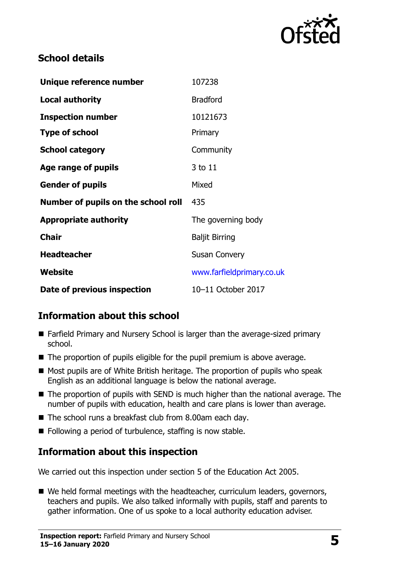

# **School details**

| Unique reference number             | 107238                    |
|-------------------------------------|---------------------------|
| <b>Local authority</b>              | <b>Bradford</b>           |
| <b>Inspection number</b>            | 10121673                  |
| <b>Type of school</b>               | Primary                   |
| <b>School category</b>              | Community                 |
| Age range of pupils                 | 3 to 11                   |
| <b>Gender of pupils</b>             | Mixed                     |
| Number of pupils on the school roll | 435                       |
| <b>Appropriate authority</b>        | The governing body        |
| <b>Chair</b>                        | <b>Baljit Birring</b>     |
| <b>Headteacher</b>                  | <b>Susan Convery</b>      |
| Website                             | www.farfieldprimary.co.uk |
| Date of previous inspection         | 10-11 October 2017        |

# **Information about this school**

- Farfield Primary and Nursery School is larger than the average-sized primary school.
- The proportion of pupils eligible for the pupil premium is above average.
- $\blacksquare$  Most pupils are of White British heritage. The proportion of pupils who speak English as an additional language is below the national average.
- $\blacksquare$  The proportion of pupils with SEND is much higher than the national average. The number of pupils with education, health and care plans is lower than average.
- The school runs a breakfast club from 8.00am each day.
- Following a period of turbulence, staffing is now stable.

# **Information about this inspection**

We carried out this inspection under section 5 of the Education Act 2005.

■ We held formal meetings with the headteacher, curriculum leaders, governors, teachers and pupils. We also talked informally with pupils, staff and parents to gather information. One of us spoke to a local authority education adviser.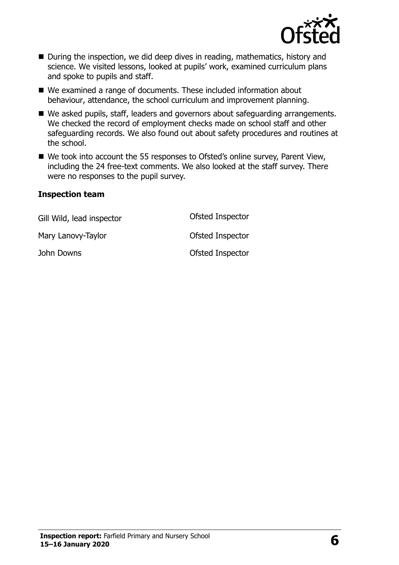

- During the inspection, we did deep dives in reading, mathematics, history and science. We visited lessons, looked at pupils' work, examined curriculum plans and spoke to pupils and staff.
- We examined a range of documents. These included information about behaviour, attendance, the school curriculum and improvement planning.
- We asked pupils, staff, leaders and governors about safeguarding arrangements. We checked the record of employment checks made on school staff and other safeguarding records. We also found out about safety procedures and routines at the school.
- We took into account the 55 responses to Ofsted's online survey, Parent View, including the 24 free-text comments. We also looked at the staff survey. There were no responses to the pupil survey.

#### **Inspection team**

| Gill Wild, lead inspector | Ofsted Inspector |
|---------------------------|------------------|
| Mary Lanovy-Taylor        | Ofsted Inspector |
| John Downs                | Ofsted Inspector |